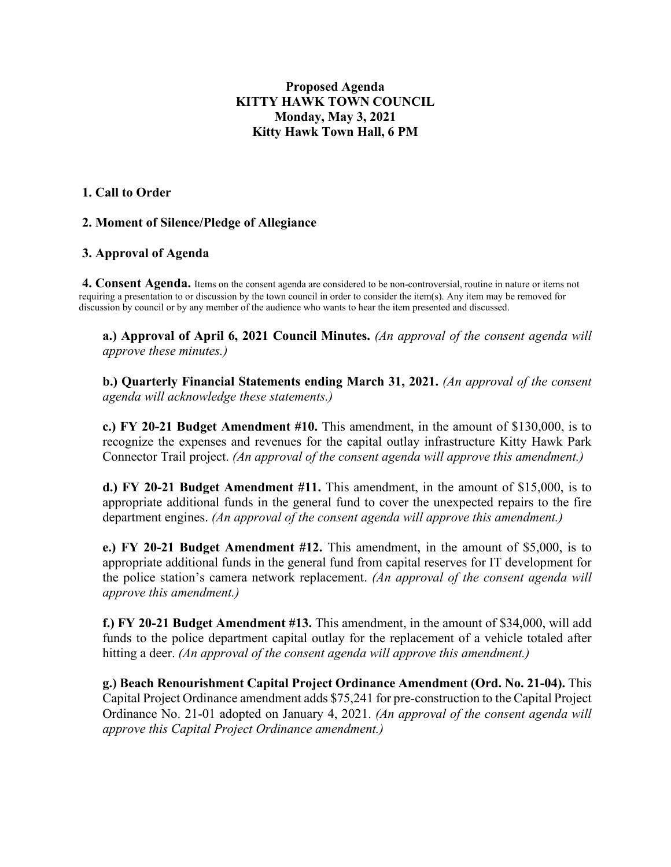# **Proposed Agenda KITTY HAWK TOWN COUNCIL Monday, May 3, 2021 Kitty Hawk Town Hall, 6 PM**

## **1. Call to Order**

## **2. Moment of Silence/Pledge of Allegiance**

## **3. Approval of Agenda**

**4. Consent Agenda.** Items on the consent agenda are considered to be non-controversial, routine in nature or items not requiring a presentation to or discussion by the town council in order to consider the item(s). Any item may be removed for discussion by council or by any member of the audience who wants to hear the item presented and discussed.

**a.) Approval of April 6, 2021 Council Minutes.** *(An approval of the consent agenda will approve these minutes.)* 

**b.) Quarterly Financial Statements ending March 31, 2021.** *(An approval of the consent agenda will acknowledge these statements.)* 

**c.) FY 20-21 Budget Amendment #10.** This amendment, in the amount of \$130,000, is to recognize the expenses and revenues for the capital outlay infrastructure Kitty Hawk Park Connector Trail project. *(An approval of the consent agenda will approve this amendment.)*

**d.) FY 20-21 Budget Amendment #11.** This amendment, in the amount of \$15,000, is to appropriate additional funds in the general fund to cover the unexpected repairs to the fire department engines. *(An approval of the consent agenda will approve this amendment.)*

**e.) FY 20-21 Budget Amendment #12.** This amendment, in the amount of \$5,000, is to appropriate additional funds in the general fund from capital reserves for IT development for the police station's camera network replacement. *(An approval of the consent agenda will approve this amendment.)*

**f.) FY 20-21 Budget Amendment #13.** This amendment, in the amount of \$34,000, will add funds to the police department capital outlay for the replacement of a vehicle totaled after hitting a deer. *(An approval of the consent agenda will approve this amendment.)*

**g.) Beach Renourishment Capital Project Ordinance Amendment (Ord. No. 21-04).** This Capital Project Ordinance amendment adds \$75,241 for pre-construction to the Capital Project Ordinance No. 21-01 adopted on January 4, 2021. *(An approval of the consent agenda will approve this Capital Project Ordinance amendment.)*